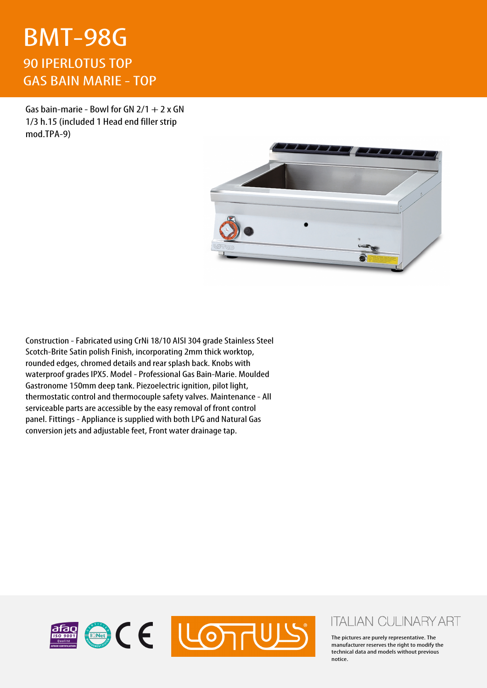## BMT-98G 90 IPERLOTUS TOP GAS BAIN MARIE - TOP

Gas bain-marie - Bowl for GN  $2/1 + 2x$  GN 1/3 h.15 (included 1 Head end filler strip mod.TPA-9)



Construction - Fabricated using CrNi 18/10 AISI 304 grade Stainless Steel Scotch-Brite Satin polish Finish, incorporating 2mm thick worktop, rounded edges, chromed details and rear splash back. Knobs with waterproof grades IPX5. Model - Professional Gas Bain-Marie. Moulded Gastronome 150mm deep tank. Piezoelectric ignition, pilot light, thermostatic control and thermocouple safety valves. Maintenance - All serviceable parts are accessible by the easy removal of front control panel. Fittings - Appliance is supplied with both LPG and Natural Gas conversion jets and adjustable feet, Front water drainage tap.



## **ITALIAN CULINARY ART**

The pictures are purely representative. The manufacturer reserves the right to modify the technical data and models without previous notice.